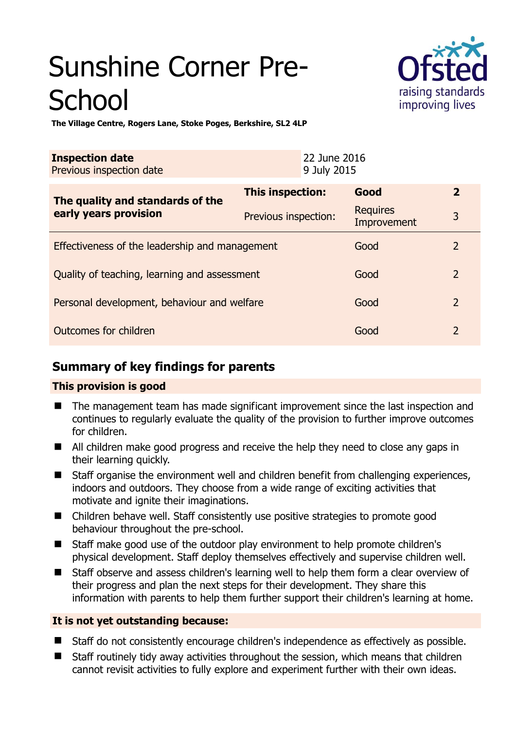# Sunshine Corner Pre-**School**



**The Village Centre, Rogers Lane, Stoke Poges, Berkshire, SL2 4LP** 

| <b>Inspection date</b><br>Previous inspection date        |                      | 22 June 2016<br>9 July 2015 |                                |                |
|-----------------------------------------------------------|----------------------|-----------------------------|--------------------------------|----------------|
| The quality and standards of the<br>early years provision | This inspection:     |                             | Good                           | $\overline{2}$ |
|                                                           | Previous inspection: |                             | <b>Requires</b><br>Improvement | 3              |
| Effectiveness of the leadership and management            |                      |                             | Good                           | 2              |
| Quality of teaching, learning and assessment              |                      |                             | Good                           | $\overline{2}$ |
| Personal development, behaviour and welfare               |                      |                             | Good                           | $\overline{2}$ |
| Outcomes for children                                     |                      |                             | Good                           | $\mathcal{P}$  |

# **Summary of key findings for parents**

## **This provision is good**

- The management team has made significant improvement since the last inspection and continues to regularly evaluate the quality of the provision to further improve outcomes for children.
- All children make good progress and receive the help they need to close any gaps in their learning quickly.
- Staff organise the environment well and children benefit from challenging experiences, indoors and outdoors. They choose from a wide range of exciting activities that motivate and ignite their imaginations.
- Children behave well. Staff consistently use positive strategies to promote good behaviour throughout the pre-school.
- Staff make good use of the outdoor play environment to help promote children's physical development. Staff deploy themselves effectively and supervise children well.
- Staff observe and assess children's learning well to help them form a clear overview of their progress and plan the next steps for their development. They share this information with parents to help them further support their children's learning at home.

## **It is not yet outstanding because:**

- Staff do not consistently encourage children's independence as effectively as possible.
- Staff routinely tidy away activities throughout the session, which means that children cannot revisit activities to fully explore and experiment further with their own ideas.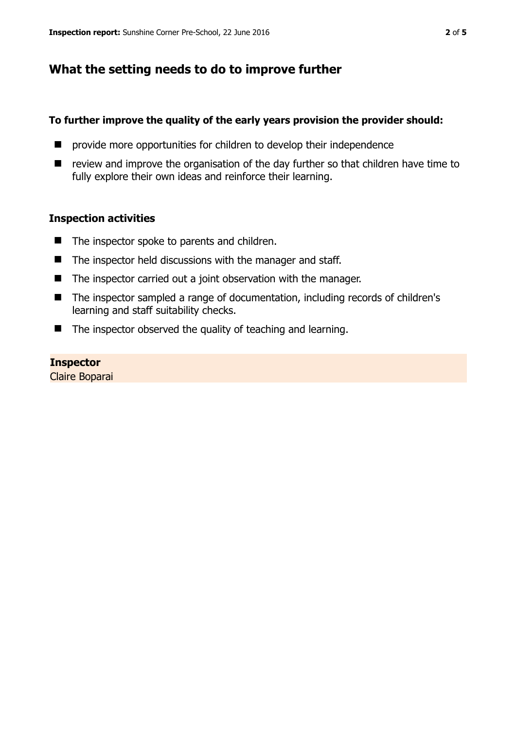# **What the setting needs to do to improve further**

### **To further improve the quality of the early years provision the provider should:**

- $\blacksquare$  provide more opportunities for children to develop their independence
- $\blacksquare$  review and improve the organisation of the day further so that children have time to fully explore their own ideas and reinforce their learning.

#### **Inspection activities**

- $\blacksquare$  The inspector spoke to parents and children.
- $\blacksquare$  The inspector held discussions with the manager and staff.
- The inspector carried out a joint observation with the manager.
- The inspector sampled a range of documentation, including records of children's learning and staff suitability checks.
- $\blacksquare$  The inspector observed the quality of teaching and learning.

#### **Inspector**

Claire Boparai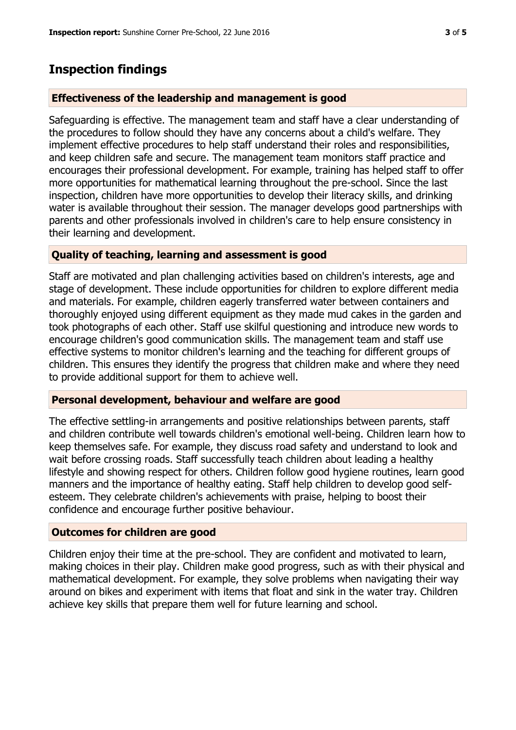## **Inspection findings**

#### **Effectiveness of the leadership and management is good**

Safeguarding is effective. The management team and staff have a clear understanding of the procedures to follow should they have any concerns about a child's welfare. They implement effective procedures to help staff understand their roles and responsibilities, and keep children safe and secure. The management team monitors staff practice and encourages their professional development. For example, training has helped staff to offer more opportunities for mathematical learning throughout the pre-school. Since the last inspection, children have more opportunities to develop their literacy skills, and drinking water is available throughout their session. The manager develops good partnerships with parents and other professionals involved in children's care to help ensure consistency in their learning and development.

#### **Quality of teaching, learning and assessment is good**

Staff are motivated and plan challenging activities based on children's interests, age and stage of development. These include opportunities for children to explore different media and materials. For example, children eagerly transferred water between containers and thoroughly enjoyed using different equipment as they made mud cakes in the garden and took photographs of each other. Staff use skilful questioning and introduce new words to encourage children's good communication skills. The management team and staff use effective systems to monitor children's learning and the teaching for different groups of children. This ensures they identify the progress that children make and where they need to provide additional support for them to achieve well.

#### **Personal development, behaviour and welfare are good**

The effective settling-in arrangements and positive relationships between parents, staff and children contribute well towards children's emotional well-being. Children learn how to keep themselves safe. For example, they discuss road safety and understand to look and wait before crossing roads. Staff successfully teach children about leading a healthy lifestyle and showing respect for others. Children follow good hygiene routines, learn good manners and the importance of healthy eating. Staff help children to develop good selfesteem. They celebrate children's achievements with praise, helping to boost their confidence and encourage further positive behaviour.

#### **Outcomes for children are good**

Children enjoy their time at the pre-school. They are confident and motivated to learn, making choices in their play. Children make good progress, such as with their physical and mathematical development. For example, they solve problems when navigating their way around on bikes and experiment with items that float and sink in the water tray. Children achieve key skills that prepare them well for future learning and school.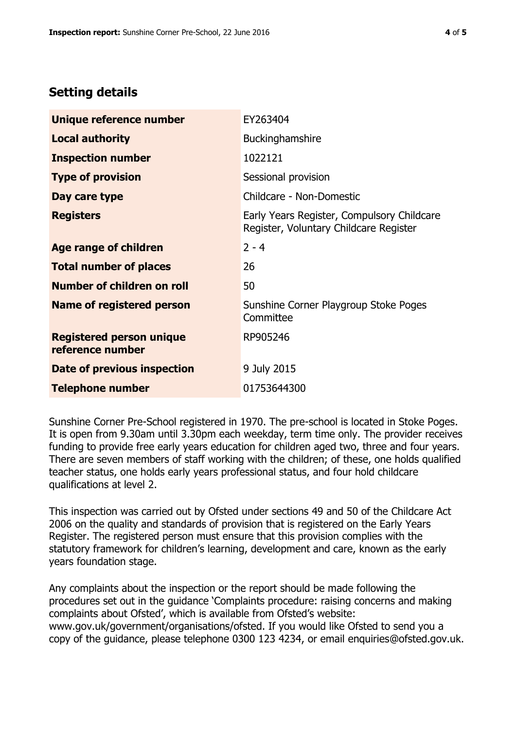# **Setting details**

| Unique reference number                             | EY263404                                                                             |  |
|-----------------------------------------------------|--------------------------------------------------------------------------------------|--|
| <b>Local authority</b>                              | Buckinghamshire                                                                      |  |
| <b>Inspection number</b>                            | 1022121                                                                              |  |
| <b>Type of provision</b>                            | Sessional provision                                                                  |  |
| Day care type                                       | Childcare - Non-Domestic                                                             |  |
| <b>Registers</b>                                    | Early Years Register, Compulsory Childcare<br>Register, Voluntary Childcare Register |  |
| <b>Age range of children</b>                        | $2 - 4$                                                                              |  |
| <b>Total number of places</b>                       | 26                                                                                   |  |
| Number of children on roll                          | 50                                                                                   |  |
| Name of registered person                           | Sunshine Corner Playgroup Stoke Poges<br>Committee                                   |  |
| <b>Registered person unique</b><br>reference number | RP905246                                                                             |  |
| Date of previous inspection                         | 9 July 2015                                                                          |  |
| <b>Telephone number</b>                             | 01753644300                                                                          |  |

Sunshine Corner Pre-School registered in 1970. The pre-school is located in Stoke Poges. It is open from 9.30am until 3.30pm each weekday, term time only. The provider receives funding to provide free early years education for children aged two, three and four years. There are seven members of staff working with the children; of these, one holds qualified teacher status, one holds early years professional status, and four hold childcare qualifications at level 2.

This inspection was carried out by Ofsted under sections 49 and 50 of the Childcare Act 2006 on the quality and standards of provision that is registered on the Early Years Register. The registered person must ensure that this provision complies with the statutory framework for children's learning, development and care, known as the early years foundation stage.

Any complaints about the inspection or the report should be made following the procedures set out in the guidance 'Complaints procedure: raising concerns and making complaints about Ofsted', which is available from Ofsted's website: www.gov.uk/government/organisations/ofsted. If you would like Ofsted to send you a copy of the guidance, please telephone 0300 123 4234, or email enquiries@ofsted.gov.uk.